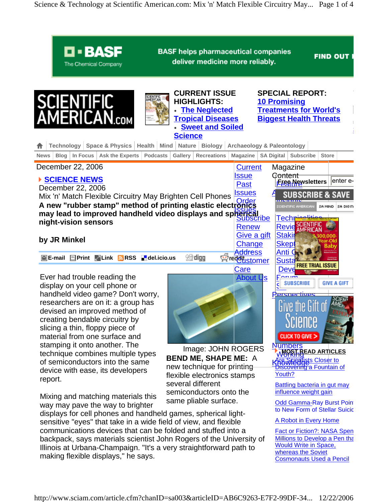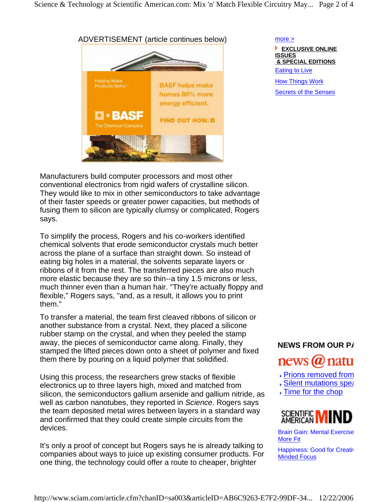

more >  **EXCLUSIVE ONLINE ISSUES & SPECIAL EDITIONS**  Eating to Live How Things Work Secrets of the Senses

Manufacturers build computer processors and most other conventional electronics from rigid wafers of crystalline silicon. They would like to mix in other semiconductors to take advantage of their faster speeds or greater power capacities, but methods of fusing them to silicon are typically clumsy or complicated, Rogers says.

To simplify the process, Rogers and his co-workers identified chemical solvents that erode semiconductor crystals much better across the plane of a surface than straight down. So instead of eating big holes in a material, the solvents separate layers or ribbons of it from the rest. The transferred pieces are also much more elastic because they are so thin--a tiny 1.5 microns or less, much thinner even than a human hair. "They're actually floppy and flexible," Rogers says, "and, as a result, it allows you to print them."

To transfer a material, the team first cleaved ribbons of silicon or another substance from a crystal. Next, they placed a silicone rubber stamp on the crystal, and when they peeled the stamp away, the pieces of semiconductor came along. Finally, they stamped the lifted pieces down onto a sheet of polymer and fixed them there by pouring on a liquid polymer that solidified.

Using this process, the researchers grew stacks of flexible electronics up to three layers high, mixed and matched from silicon, the semiconductors gallium arsenide and gallium nitride, as well as carbon nanotubes, they reported in *Science*. Rogers says the team deposited metal wires between layers in a standard way and confirmed that they could create simple circuits from the devices.

It's only a proof of concept but Rogers says he is already talking to companies about ways to juice up existing consumer products. For one thing, the technology could offer a route to cheaper, brighter

# **NEWS FROM OUR PA** news @ natu

- Prions removed from
- **Silent mutations spear**
- **Time for the chop**



Brain Gain: Mental Exercise More Fit

Happiness: Good for Creativ Minded Focus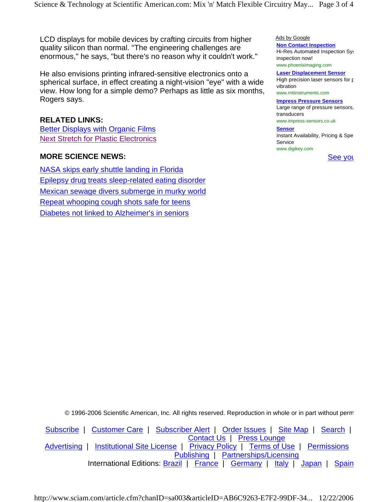Science & Technology at Scientific American.com: Mix 'n' Match Flexible Circuitry May... Page 3 of 4

LCD displays for mobile devices by crafting circuits from higher quality silicon than normal. "The engineering challenges are enormous," he says, "but there's no reason why it couldn't work."

He also envisions printing infrared-sensitive electronics onto a spherical surface, in effect creating a night-vision "eye" with a wide view. How long for a simple demo? Perhaps as little as six months, Rogers says.

## **RELATED LINKS:**

Better Displays with Organic Films Next Stretch for Plastic Electronics

## **MORE SCIENCE NEWS:**

NASA skips early shuttle landing in Florida Epilepsy drug treats sleep-related eating disorder Mexican sewage divers submerge in murky world Repeat whooping cough shots safe for teens Diabetes not linked to Alzheimer's in seniors

Ads by Google **Non Contact Inspection** Hi-Res Automated Inspection Sys

inspection now! www.phoeniximaging.com

**Laser Displacement Sensor** High precision laser sensors for p vibration www.mtiinstruments.com

#### **Impress Pressure Sensors**

Large range of pressure sensors, transducers www.impress-sensors.co.uk

#### **Sensor**

Instant Availability, Pricing & Spe **Service** www.digikey.com

See you

© 1996-2006 Scientific American, Inc. All rights reserved. Reproduction in whole or in part without perm

Subscribe | Customer Care | Subscriber Alert | Order Issues | Site Map | Search | Contact Us | Press Lounge Advertising | Institutional Site License | Privacy Policy | Terms of Use | Permissions Publishing | Partnerships/Licensing International Editions: Brazil | France | Germany | Italy | Japan | Spain

http://www.sciam.com/article.cfm?chanID=sa003&articleID=AB6C9263-E7F2-99DF-34... 12/22/2006